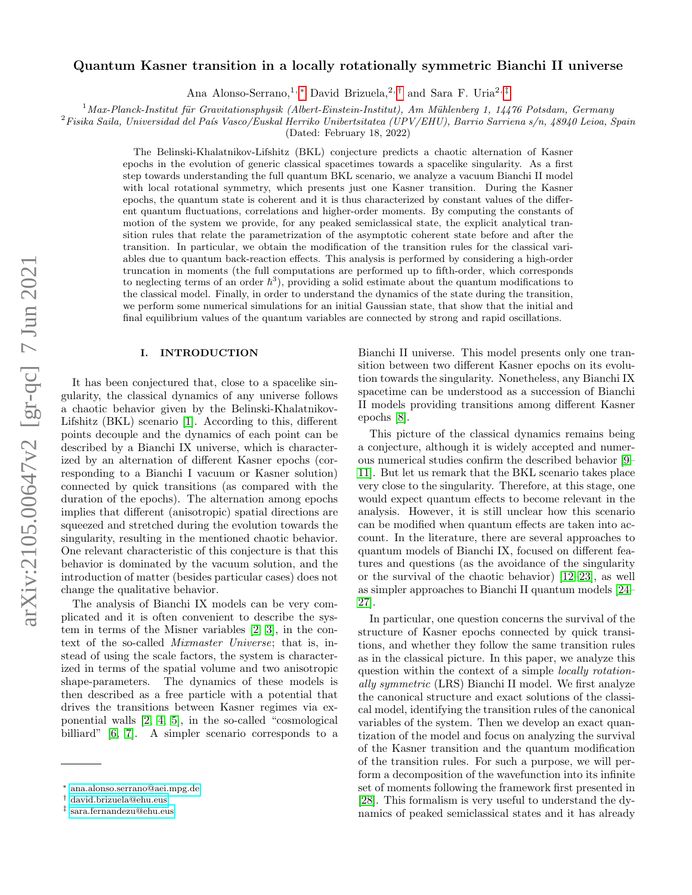# Quantum Kasner transition in a locally rotationally symmetric Bianchi II universe

Ana Alonso-Serrano,<sup>1, [∗](#page-0-0)</sup> David Brizuela,<sup>2,[†](#page-0-1)</sup> and Sara F. Uria<sup>2,[‡](#page-0-2)</sup>

 $1$ Max-Planck-Institut für Gravitationsphysik (Albert-Einstein-Institut), Am Mühlenberg 1, 14476 Potsdam, Germany

 ${}^{2}F$ isika Saila, Universidad del País Vasco/Euskal Herriko Unibertsitatea (UPV/EHU), Barrio Sarriena s/n, 48940 Leioa, Spain

(Dated: February 18, 2022)

The Belinski-Khalatnikov-Lifshitz (BKL) conjecture predicts a chaotic alternation of Kasner epochs in the evolution of generic classical spacetimes towards a spacelike singularity. As a first step towards understanding the full quantum BKL scenario, we analyze a vacuum Bianchi II model with local rotational symmetry, which presents just one Kasner transition. During the Kasner epochs, the quantum state is coherent and it is thus characterized by constant values of the different quantum fluctuations, correlations and higher-order moments. By computing the constants of motion of the system we provide, for any peaked semiclassical state, the explicit analytical transition rules that relate the parametrization of the asymptotic coherent state before and after the transition. In particular, we obtain the modification of the transition rules for the classical variables due to quantum back-reaction effects. This analysis is performed by considering a high-order truncation in moments (the full computations are performed up to fifth-order, which corresponds to neglecting terms of an order  $\hbar^3$ ), providing a solid estimate about the quantum modifications to the classical model. Finally, in order to understand the dynamics of the state during the transition, we perform some numerical simulations for an initial Gaussian state, that show that the initial and final equilibrium values of the quantum variables are connected by strong and rapid oscillations.

## I. INTRODUCTION

It has been conjectured that, close to a spacelike singularity, the classical dynamics of any universe follows a chaotic behavior given by the Belinski-Khalatnikov-Lifshitz (BKL) scenario [\[1\]](#page-11-0). According to this, different points decouple and the dynamics of each point can be described by a Bianchi IX universe, which is characterized by an alternation of different Kasner epochs (corresponding to a Bianchi I vacuum or Kasner solution) connected by quick transitions (as compared with the duration of the epochs). The alternation among epochs implies that different (anisotropic) spatial directions are squeezed and stretched during the evolution towards the singularity, resulting in the mentioned chaotic behavior. One relevant characteristic of this conjecture is that this behavior is dominated by the vacuum solution, and the introduction of matter (besides particular cases) does not change the qualitative behavior.

The analysis of Bianchi IX models can be very complicated and it is often convenient to describe the system in terms of the Misner variables [\[2,](#page-11-1) [3\]](#page-11-2), in the context of the so-called Mixmaster Universe; that is, instead of using the scale factors, the system is characterized in terms of the spatial volume and two anisotropic shape-parameters. The dynamics of these models is then described as a free particle with a potential that drives the transitions between Kasner regimes via exponential walls [\[2,](#page-11-1) [4,](#page-11-3) [5\]](#page-11-4), in the so-called "cosmological billiard" [\[6,](#page-11-5) [7\]](#page-11-6). A simpler scenario corresponds to a Bianchi II universe. This model presents only one transition between two different Kasner epochs on its evolution towards the singularity. Nonetheless, any Bianchi IX spacetime can be understood as a succession of Bianchi II models providing transitions among different Kasner epochs [\[8\]](#page-11-7).

This picture of the classical dynamics remains being a conjecture, although it is widely accepted and numerous numerical studies confirm the described behavior [\[9–](#page-12-0) [11\]](#page-12-1). But let us remark that the BKL scenario takes place very close to the singularity. Therefore, at this stage, one would expect quantum effects to become relevant in the analysis. However, it is still unclear how this scenario can be modified when quantum effects are taken into account. In the literature, there are several approaches to quantum models of Bianchi IX, focused on different features and questions (as the avoidance of the singularity or the survival of the chaotic behavior) [\[12–](#page-12-2)[23\]](#page-12-3), as well as simpler approaches to Bianchi II quantum models [\[24–](#page-12-4) [27\]](#page-12-5).

In particular, one question concerns the survival of the structure of Kasner epochs connected by quick transitions, and whether they follow the same transition rules as in the classical picture. In this paper, we analyze this question within the context of a simple locally rotationally symmetric (LRS) Bianchi II model. We first analyze the canonical structure and exact solutions of the classical model, identifying the transition rules of the canonical variables of the system. Then we develop an exact quantization of the model and focus on analyzing the survival of the Kasner transition and the quantum modification of the transition rules. For such a purpose, we will perform a decomposition of the wavefunction into its infinite set of moments following the framework first presented in [\[28\]](#page-12-6). This formalism is very useful to understand the dynamics of peaked semiclassical states and it has already

<span id="page-0-0"></span><sup>∗</sup> [ana.alonso.serrano@aei.mpg.de](mailto:ana.alonso.serrano@aei.mpg.de)

<span id="page-0-1"></span><sup>†</sup> [david.brizuela@ehu.eus](mailto:david.brizuela@ehu.eus)

<span id="page-0-2"></span><sup>‡</sup> [sara.fernandezu@ehu.eus](mailto:sara.fernandezu@ehu.eus)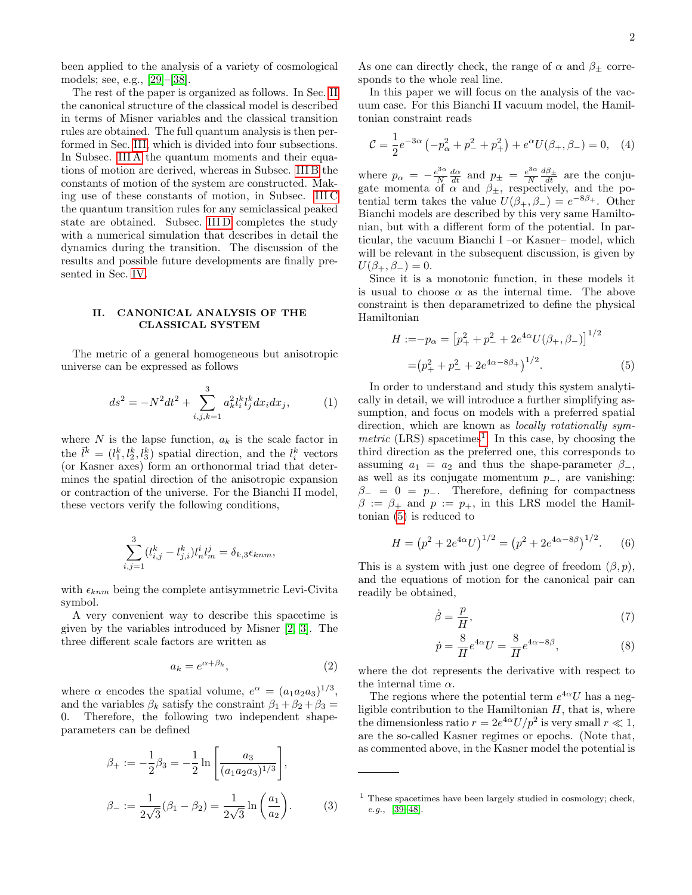been applied to the analysis of a variety of cosmological models; see, e.g., [\[29\]](#page-12-7)–[\[38\]](#page-12-8).

The rest of the paper is organized as follows. In Sec. [II](#page-1-0) the canonical structure of the classical model is described in terms of Misner variables and the classical transition rules are obtained. The full quantum analysis is then performed in Sec. [III,](#page-3-0) which is divided into four subsections. In Subsec. [III A](#page-3-1) the quantum moments and their equations of motion are derived, whereas in Subsec. [III B](#page-4-0) the constants of motion of the system are constructed. Making use of these constants of motion, in Subsec. [III C](#page-5-0) the quantum transition rules for any semiclassical peaked state are obtained. Subsec. [III D](#page-7-0) completes the study with a numerical simulation that describes in detail the dynamics during the transition. The discussion of the results and possible future developments are finally presented in Sec. [IV.](#page-9-0)

## <span id="page-1-0"></span>II. CANONICAL ANALYSIS OF THE CLASSICAL SYSTEM

The metric of a general homogeneous but anisotropic universe can be expressed as follows

$$
ds^{2} = -N^{2}dt^{2} + \sum_{i,j,k=1}^{3} a_{k}^{2}l_{i}^{k}l_{j}^{k}dx_{i}dx_{j},
$$
 (1)

where  $N$  is the lapse function,  $a_k$  is the scale factor in the  $\vec{l}^k = (l_1^k, l_2^k, l_3^k)$  spatial direction, and the  $l_i^k$  vectors (or Kasner axes) form an orthonormal triad that determines the spatial direction of the anisotropic expansion or contraction of the universe. For the Bianchi II model, these vectors verify the following conditions,

$$
\sum_{i,j=1}^{3} (l_{i,j}^{k} - l_{j,i}^{k}) l_{n}^{i} l_{m}^{j} = \delta_{k,3} \epsilon_{knm},
$$

with  $\epsilon_{knm}$  being the complete antisymmetric Levi-Civita symbol.

A very convenient way to describe this spacetime is given by the variables introduced by Misner [\[2,](#page-11-1) [3\]](#page-11-2). The three different scale factors are written as

$$
a_k = e^{\alpha + \beta_k},\tag{2}
$$

where  $\alpha$  encodes the spatial volume,  $e^{\alpha} = (a_1 a_2 a_3)^{1/3}$ , and the variables  $\beta_k$  satisfy the constraint  $\beta_1 + \beta_2 + \beta_3 =$ 0. Therefore, the following two independent shapeparameters can be defined

$$
\beta_{+} := -\frac{1}{2}\beta_{3} = -\frac{1}{2}\ln\left[\frac{a_{3}}{(a_{1}a_{2}a_{3})^{1/3}}\right],
$$
  

$$
\beta_{-} := \frac{1}{2\sqrt{3}}(\beta_{1} - \beta_{2}) = \frac{1}{2\sqrt{3}}\ln\left(\frac{a_{1}}{a_{2}}\right).
$$
 (3)

As one can directly check, the range of  $\alpha$  and  $\beta_{\pm}$  corresponds to the whole real line.

In this paper we will focus on the analysis of the vacuum case. For this Bianchi II vacuum model, the Hamiltonian constraint reads

$$
\mathcal{C} = \frac{1}{2}e^{-3\alpha} \left( -p_{\alpha}^2 + p_-^2 + p_+^2 \right) + e^{\alpha} U(\beta_+, \beta_-) = 0, \quad (4)
$$

where  $p_{\alpha} = -\frac{e^{3\alpha}}{N}$  $\frac{e^{3\alpha}}{N} \frac{d\alpha}{dt}$  and  $p_{\pm} = \frac{e^{3\alpha}}{N}$ N  $\frac{d\beta_{\pm}}{dt}$  are the conjugate momenta of  $\alpha$  and  $\beta_{\pm}$ , respectively, and the potential term takes the value  $U(\beta_+, \beta_-) = e^{-8\beta_+}$ . Other Bianchi models are described by this very same Hamiltonian, but with a different form of the potential. In particular, the vacuum Bianchi I –or Kasner– model, which will be relevant in the subsequent discussion, is given by  $U(\beta_+,\beta_-)=0.$ 

Since it is a monotonic function, in these models it is usual to choose  $\alpha$  as the internal time. The above constraint is then deparametrized to define the physical Hamiltonian

<span id="page-1-2"></span>
$$
H := -p_{\alpha} = [p_+^2 + p_-^2 + 2e^{4\alpha}U(\beta_+, \beta_-)]^{1/2}
$$
  
=  $(p_+^2 + p_-^2 + 2e^{4\alpha - 8\beta_+})^{1/2}$ . (5)

In order to understand and study this system analytically in detail, we will introduce a further simplifying assumption, and focus on models with a preferred spatial direction, which are known as *locally rotationally sym*metric  $(LRS)$  spacetimes<sup>[1](#page-1-1)</sup>. In this case, by choosing the third direction as the preferred one, this corresponds to assuming  $a_1 = a_2$  and thus the shape-parameter  $\beta$ <sub>-</sub>, as well as its conjugate momentum  $p_$ , are vanishing:  $\beta$ <sub>-</sub> = 0 =  $p$ <sub>-</sub>. Therefore, defining for compactness  $\beta := \beta_+$  and  $p := p_+$ , in this LRS model the Hamiltonian [\(5\)](#page-1-2) is reduced to

<span id="page-1-4"></span>
$$
H = (p^2 + 2e^{4\alpha}U)^{1/2} = (p^2 + 2e^{4\alpha - 8\beta})^{1/2}.
$$
 (6)

This is a system with just one degree of freedom  $(\beta, p)$ , and the equations of motion for the canonical pair can readily be obtained,

<span id="page-1-3"></span>
$$
\dot{\beta} = \frac{p}{H},\tag{7}
$$

$$
\dot{p} = \frac{8}{H}e^{4\alpha}U = \frac{8}{H}e^{4\alpha - 8\beta},\tag{8}
$$

where the dot represents the derivative with respect to the internal time  $\alpha$ .

The regions where the potential term  $e^{4\alpha}U$  has a negligible contribution to the Hamiltonian  $H$ , that is, where the dimensionless ratio  $r = 2e^{4\alpha}U/p^2$  is very small  $r \ll 1$ , are the so-called Kasner regimes or epochs. (Note that, as commented above, in the Kasner model the potential is

<span id="page-1-1"></span><sup>&</sup>lt;sup>1</sup> These spacetimes have been largely studied in cosmology; check, e.g., [\[39](#page-12-9)[–48\]](#page-12-10).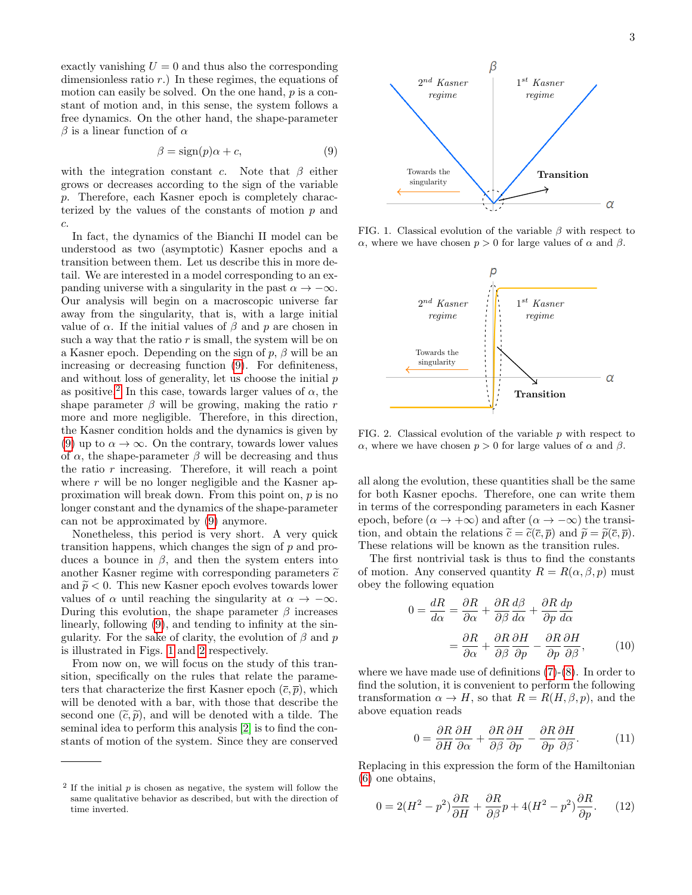exactly vanishing  $U = 0$  and thus also the corresponding dimensionless ratio  $r$ .) In these regimes, the equations of motion can easily be solved. On the one hand, p is a constant of motion and, in this sense, the system follows a free dynamics. On the other hand, the shape-parameter  $β$  is a linear function of  $α$ 

<span id="page-2-0"></span>
$$
\beta = sign(p)\alpha + c,\tag{9}
$$

with the integration constant c. Note that  $\beta$  either grows or decreases according to the sign of the variable p. Therefore, each Kasner epoch is completely characterized by the values of the constants of motion  $p$  and c.

In fact, the dynamics of the Bianchi II model can be understood as two (asymptotic) Kasner epochs and a transition between them. Let us describe this in more detail. We are interested in a model corresponding to an expanding universe with a singularity in the past  $\alpha \to -\infty$ . Our analysis will begin on a macroscopic universe far away from the singularity, that is, with a large initial value of  $\alpha$ . If the initial values of  $\beta$  and p are chosen in such a way that the ratio  $r$  is small, the system will be on a Kasner epoch. Depending on the sign of  $p, \beta$  will be an increasing or decreasing function [\(9\)](#page-2-0). For definiteness, and without loss of generality, let us choose the initial  $p$ as positive.<sup>[2](#page-2-1)</sup> In this case, towards larger values of  $\alpha$ , the shape parameter  $\beta$  will be growing, making the ratio r more and more negligible. Therefore, in this direction, the Kasner condition holds and the dynamics is given by [\(9\)](#page-2-0) up to  $\alpha \to \infty$ . On the contrary, towards lower values of  $\alpha$ , the shape-parameter  $\beta$  will be decreasing and thus the ratio  $r$  increasing. Therefore, it will reach a point where  $r$  will be no longer negligible and the Kasner approximation will break down. From this point on, p is no longer constant and the dynamics of the shape-parameter can not be approximated by [\(9\)](#page-2-0) anymore.

Nonetheless, this period is very short. A very quick transition happens, which changes the sign of  $p$  and produces a bounce in  $\beta$ , and then the system enters into another Kasner regime with corresponding parameters  $\tilde{c}$ and  $\tilde{p}$  < 0. This new Kasner epoch evolves towards lower values of  $\alpha$  until reaching the singularity at  $\alpha \to -\infty$ . During this evolution, the shape parameter  $\beta$  increases linearly, following [\(9\)](#page-2-0), and tending to infinity at the singularity. For the sake of clarity, the evolution of  $\beta$  and  $p$ is illustrated in Figs. [1](#page-2-2) and [2](#page-2-3) respectively.

From now on, we will focus on the study of this transition, specifically on the rules that relate the parameters that characterize the first Kasner epoch  $(\overline{c}, \overline{p})$ , which will be denoted with a bar, with those that describe the second one  $(\tilde{c}, \tilde{p})$ , and will be denoted with a tilde. The seminal idea to perform this analysis [\[2\]](#page-11-1) is to find the constants of motion of the system. Since they are conserved



FIG. 1. Classical evolution of the variable  $\beta$  with respect to α, where we have chosen  $p > 0$  for large values of α and β.

<span id="page-2-2"></span>

<span id="page-2-3"></span>FIG. 2. Classical evolution of the variable  $p$  with respect to α, where we have chosen  $p > 0$  for large values of α and  $β$ .

all along the evolution, these quantities shall be the same for both Kasner epochs. Therefore, one can write them in terms of the corresponding parameters in each Kasner epoch, before ( $\alpha \to +\infty$ ) and after ( $\alpha \to -\infty$ ) the transition, and obtain the relations  $\tilde{c} = \tilde{c}(\bar{c}, \bar{p})$  and  $\tilde{p} = \tilde{p}(\bar{c}, \bar{p})$ . These relations will be known as the transition rules.

The first nontrivial task is thus to find the constants of motion. Any conserved quantity  $R = R(\alpha, \beta, p)$  must obey the following equation

$$
0 = \frac{dR}{d\alpha} = \frac{\partial R}{\partial \alpha} + \frac{\partial R}{\partial \beta} \frac{d\beta}{d\alpha} + \frac{\partial R}{\partial p} \frac{dp}{d\alpha}
$$

$$
= \frac{\partial R}{\partial \alpha} + \frac{\partial R}{\partial \beta} \frac{\partial H}{\partial p} - \frac{\partial R}{\partial p} \frac{\partial H}{\partial \beta}, \qquad (10)
$$

where we have made use of definitions [\(7\)](#page-1-3)-[\(8\)](#page-1-3). In order to find the solution, it is convenient to perform the following transformation  $\alpha \to H$ , so that  $R = R(H, \beta, p)$ , and the above equation reads

$$
0 = \frac{\partial R}{\partial H} \frac{\partial H}{\partial \alpha} + \frac{\partial R}{\partial \beta} \frac{\partial H}{\partial p} - \frac{\partial R}{\partial p} \frac{\partial H}{\partial \beta}.
$$
 (11)

Replacing in this expression the form of the Hamiltonian [\(6\)](#page-1-4) one obtains,

$$
0 = 2(H^2 - p^2)\frac{\partial R}{\partial H} + \frac{\partial R}{\partial \beta}p + 4(H^2 - p^2)\frac{\partial R}{\partial p}.
$$
 (12)

<span id="page-2-1"></span> $2$  If the initial  $p$  is chosen as negative, the system will follow the same qualitative behavior as described, but with the direction of time inverted.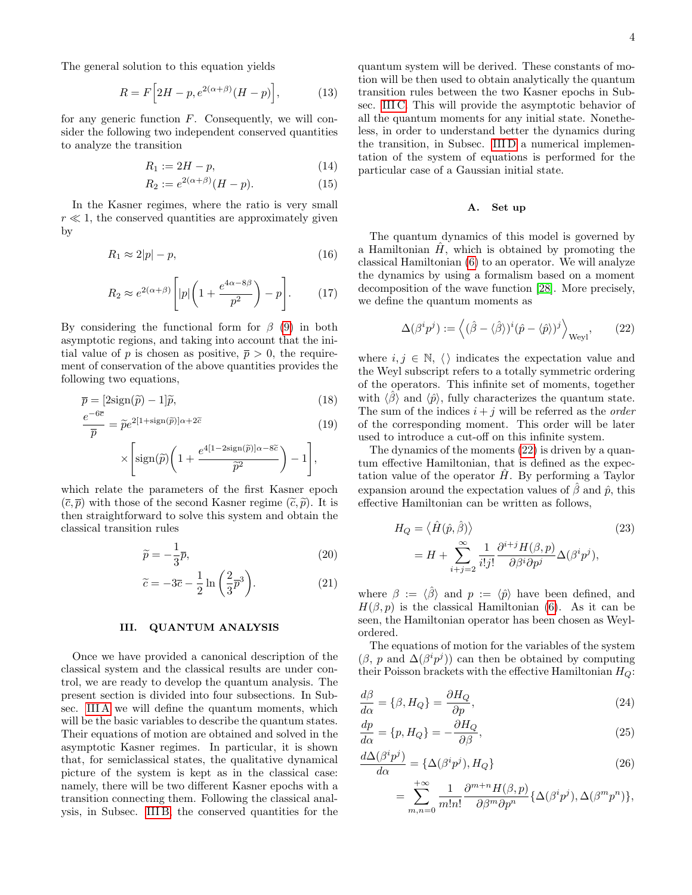The general solution to this equation yields

$$
R = F\Big[2H - p, e^{2(\alpha+\beta)}(H - p)\Big],\tag{13}
$$

for any generic function  $F$ . Consequently, we will consider the following two independent conserved quantities to analyze the transition

<span id="page-3-7"></span>
$$
R_1 := 2H - p,\tag{14}
$$

$$
R_2 := e^{2(\alpha + \beta)} (H - p). \tag{15}
$$

In the Kasner regimes, where the ratio is very small  $r \ll 1$ , the conserved quantities are approximately given by

$$
R_1 \approx 2|p| - p,\tag{16}
$$

$$
R_2 \approx e^{2(\alpha+\beta)} \left[ |p| \left( 1 + \frac{e^{4\alpha - 8\beta}}{p^2} \right) - p \right]. \tag{17}
$$

By considering the functional form for  $\beta$  [\(9\)](#page-2-0) in both asymptotic regions, and taking into account that the initial value of p is chosen as positive,  $\bar{p} > 0$ , the requirement of conservation of the above quantities provides the following two equations,

$$
\overline{p} = \left[2\text{sign}(\tilde{p}) - 1\right]\tilde{p},\tag{18}
$$

$$
\frac{e^{-6\overline{c}}}{\overline{p}} = \widetilde{p}e^{2[1 + \text{sign}(\widetilde{p})]\alpha + 2\widetilde{c}}
$$
(19)

$$
\times \left[ \text{sign}(\widetilde{p}) \bigg( 1 + \frac{e^{4[1-2\text{sign}(\widetilde{p})]\alpha - 8\widetilde{c}}}{\widetilde{p}^2} \bigg) - 1 \right],
$$

which relate the parameters of the first Kasner epoch  $(\overline{c}, \overline{p})$  with those of the second Kasner regime  $(\widetilde{c}, \widetilde{p})$ . It is then straightforward to solve this system and obtain the classical transition rules

$$
\widetilde{p} = -\frac{1}{3}\overline{p},\tag{20}
$$

$$
\widetilde{c} = -3\overline{c} - \frac{1}{2}\ln\left(\frac{2}{3}\overline{p}^3\right). \tag{21}
$$

### <span id="page-3-0"></span>III. QUANTUM ANALYSIS

Once we have provided a canonical description of the classical system and the classical results are under control, we are ready to develop the quantum analysis. The present section is divided into four subsections. In Subsec. [III A](#page-3-1) we will define the quantum moments, which will be the basic variables to describe the quantum states. Their equations of motion are obtained and solved in the asymptotic Kasner regimes. In particular, it is shown that, for semiclassical states, the qualitative dynamical picture of the system is kept as in the classical case: namely, there will be two different Kasner epochs with a transition connecting them. Following the classical analysis, in Subsec. [III B,](#page-4-0) the conserved quantities for the

quantum system will be derived. These constants of motion will be then used to obtain analytically the quantum transition rules between the two Kasner epochs in Subsec. [III C.](#page-5-0) This will provide the asymptotic behavior of all the quantum moments for any initial state. Nonetheless, in order to understand better the dynamics during the transition, in Subsec. [III D](#page-7-0) a numerical implementation of the system of equations is performed for the particular case of a Gaussian initial state.

#### <span id="page-3-1"></span>A. Set up

The quantum dynamics of this model is governed by a Hamiltonian  $\hat{H}$ , which is obtained by promoting the classical Hamiltonian [\(6\)](#page-1-4) to an operator. We will analyze the dynamics by using a formalism based on a moment decomposition of the wave function [\[28\]](#page-12-6). More precisely, we define the quantum moments as

<span id="page-3-2"></span>
$$
\Delta(\beta^i p^j) := \left\langle (\hat{\beta} - \langle \hat{\beta} \rangle)^i (\hat{p} - \langle \hat{p} \rangle)^j \right\rangle_{\text{Weyl}}, \qquad (22)
$$

where  $i, j \in \mathbb{N}, \langle \rangle$  indicates the expectation value and the Weyl subscript refers to a totally symmetric ordering of the operators. This infinite set of moments, together with  $\langle \hat{\beta} \rangle$  and  $\langle \hat{\mathcal{p}} \rangle$ , fully characterizes the quantum state. The sum of the indices  $i + j$  will be referred as the *order* of the corresponding moment. This order will be later used to introduce a cut-off on this infinite system.

The dynamics of the moments [\(22\)](#page-3-2) is driven by a quantum effective Hamiltonian, that is defined as the expectation value of the operator  $H$ . By performing a Taylor expansion around the expectation values of  $\hat{\beta}$  and  $\hat{p}$ , this effective Hamiltonian can be written as follows,

$$
H_Q = \langle \hat{H}(\hat{p}, \hat{\beta}) \rangle
$$
  
=  $H + \sum_{i+j=2}^{\infty} \frac{1}{i!j!} \frac{\partial^{i+j} H(\beta, p)}{\partial \beta^i \partial p^j} \Delta(\beta^i p^j),$  (23)

<span id="page-3-6"></span><span id="page-3-5"></span>where  $\beta := \langle \hat{\beta} \rangle$  and  $p := \langle \hat{\mathcal{p}} \rangle$  have been defined, and  $H(\beta, p)$  is the classical Hamiltonian [\(6\)](#page-1-4). As it can be seen, the Hamiltonian operator has been chosen as Weylordered.

The equations of motion for the variables of the system  $(\beta, p \text{ and } \Delta(\beta^i p^j))$  can then be obtained by computing their Poisson brackets with the effective Hamiltonian  $H_Q$ :

$$
\frac{d\beta}{d\alpha} = \{\beta, H_Q\} = \frac{\partial H_Q}{\partial p},\tag{24}
$$

$$
\frac{dp}{d\alpha} = \{p, H_Q\} = -\frac{\partial H_Q}{\partial \beta},\tag{25}
$$

$$
\frac{d\Delta(\beta^i p^j)}{d\alpha} = {\{\Delta(\beta^i p^j), H_Q\}}
$$
\n(26)

<span id="page-3-4"></span><span id="page-3-3"></span>
$$
= \sum_{m,n=0}^{+\infty} \frac{1}{m!n!} \frac{\partial^{m+n} H(\beta,p)}{\partial \beta^m \partial p^n} \{ \Delta(\beta^i p^j), \Delta(\beta^m p^n) \},
$$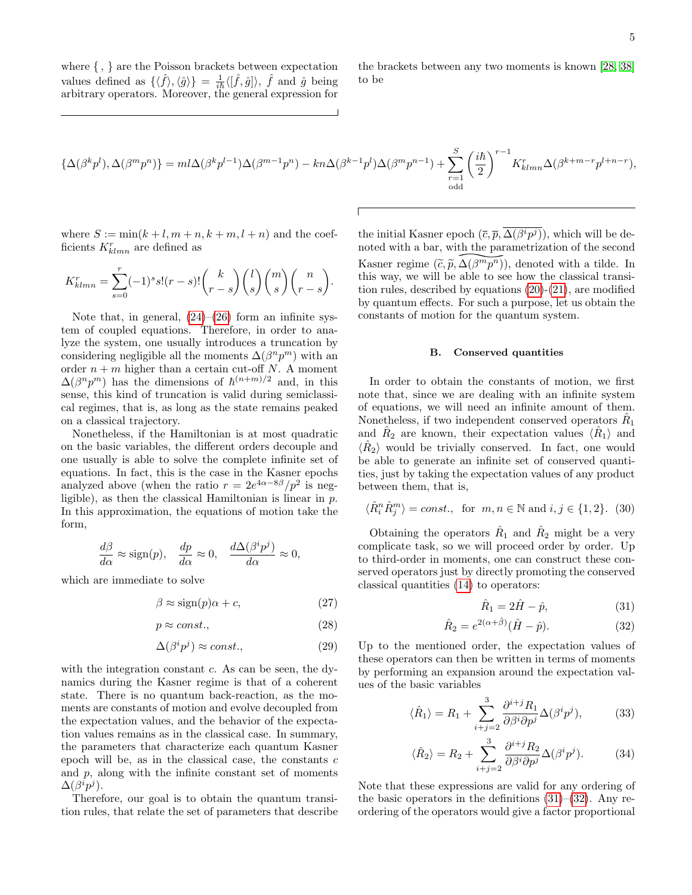where { , } are the Poisson brackets between expectation values defined as  $\{\langle \hat{f} \rangle, \langle \hat{g} \rangle\} = \frac{1}{i\hbar} \langle [\hat{f}, \hat{g}] \rangle$ ,  $\hat{f}$  and  $\hat{g}$  being arbitrary operators. Moreover, the general expression for

the brackets between any two moments is known [\[28,](#page-12-6) [38\]](#page-12-8) to be

$$
\{\Delta(\beta^k p^l),\Delta(\beta^m p^n)\}=m l \Delta(\beta^k p^{l-1}) \Delta(\beta^{m-1} p^n)-kn \Delta(\beta^{k-1} p^l) \Delta(\beta^m p^{n-1})+\sum_{\substack{r=1\\ \text{odd}}}^{S} \bigg(\frac{i\hbar}{2}\bigg)^{r-1} K_{klmn}^r \Delta(\beta^{k+m-r} p^{l+n-r}),
$$

where  $S := min(k+l, m+n, k+m, l+n)$  and the coefficients  $K_{klmn}^r$  are defined as

$$
K_{klmn}^r = \sum_{s=0}^r (-1)^s s!(r-s)! \binom{k}{r-s} \binom{l}{s} \binom{m}{s} \binom{n}{r-s}.
$$

Note that, in general,  $(24)$ – $(26)$  form an infinite system of coupled equations. Therefore, in order to analyze the system, one usually introduces a truncation by considering negligible all the moments  $\Delta(\beta^n p^m)$  with an order  $n + m$  higher than a certain cut-off N. A moment  $\Delta(\beta^n p^m)$  has the dimensions of  $\hbar^{(n+m)/2}$  and, in this sense, this kind of truncation is valid during semiclassical regimes, that is, as long as the state remains peaked on a classical trajectory.

Nonetheless, if the Hamiltonian is at most quadratic on the basic variables, the different orders decouple and one usually is able to solve the complete infinite set of equations. In fact, this is the case in the Kasner epochs analyzed above (when the ratio  $r = 2e^{4\alpha - 8\beta}/p^2$  is negligible), as then the classical Hamiltonian is linear in p. In this approximation, the equations of motion take the form,

$$
\frac{d\beta}{d\alpha} \approx \text{sign}(p), \quad \frac{dp}{d\alpha} \approx 0, \quad \frac{d\Delta(\beta^i p^j)}{d\alpha} \approx 0,
$$

which are immediate to solve

<span id="page-4-3"></span>
$$
\beta \approx \text{sign}(p)\alpha + c,\tag{27}
$$

$$
p \approx const.,\tag{28}
$$

$$
\Delta(\beta^i p^j) \approx const.,\tag{29}
$$

with the integration constant  $c$ . As can be seen, the dynamics during the Kasner regime is that of a coherent state. There is no quantum back-reaction, as the moments are constants of motion and evolve decoupled from the expectation values, and the behavior of the expectation values remains as in the classical case. In summary, the parameters that characterize each quantum Kasner epoch will be, as in the classical case, the constants  $c$ and p, along with the infinite constant set of moments  $\Delta(\beta^i p^j)$ .

Therefore, our goal is to obtain the quantum transition rules, that relate the set of parameters that describe

the initial Kasner epoch  $(\overline{c}, \overline{p}, \Delta(\beta^i p^j))$ , which will be denoted with a bar, with the parametrization of the second Kasner regime  $(\tilde{c}, \tilde{p}, \Delta(\beta^m \overline{p^n}))$  $\frac{\Delta(\beta^m p^n)}{\Delta(\beta^m p^n)}$ <br>able to s<br>by equate )), denoted with a tilde. In this way, we will be able to see how the classical transition rules, described by equations [\(20\)](#page-3-5)-[\(21\)](#page-3-6), are modified by quantum effects. For such a purpose, let us obtain the constants of motion for the quantum system.

## <span id="page-4-0"></span>B. Conserved quantities

In order to obtain the constants of motion, we first note that, since we are dealing with an infinite system of equations, we will need an infinite amount of them. Nonetheless, if two independent conserved operators  $\hat{R}_1$ and  $\hat{R}_2$  are known, their expectation values  $\langle \hat{R}_1 \rangle$  and  $\langle \hat{R}_2 \rangle$  would be trivially conserved. In fact, one would be able to generate an infinite set of conserved quantities, just by taking the expectation values of any product between them, that is,

$$
\langle \hat{R}_i^n \hat{R}_j^m \rangle = const., \text{ for } m, n \in \mathbb{N} \text{ and } i, j \in \{1, 2\}. \tag{30}
$$

Obtaining the operators  $\hat{R}_1$  and  $\hat{R}_2$  might be a very complicate task, so we will proceed order by order. Up to third-order in moments, one can construct these conserved operators just by directly promoting the conserved classical quantities [\(14\)](#page-3-7) to operators:

<span id="page-4-1"></span>
$$
\hat{R}_1 = 2\hat{H} - \hat{p},\tag{31}
$$

$$
\hat{R}_2 = e^{2(\alpha + \hat{\beta})} (\hat{H} - \hat{p}).
$$
\n(32)

Up to the mentioned order, the expectation values of these operators can then be written in terms of moments by performing an expansion around the expectation values of the basic variables

<span id="page-4-2"></span> $\langle$ 

$$
\hat{R}_1 \rangle = R_1 + \sum_{i+j=2}^3 \frac{\partial^{i+j} R_1}{\partial \beta^i \partial p^j} \Delta(\beta^i p^j), \tag{33}
$$

$$
\langle \hat{R}_2 \rangle = R_2 + \sum_{i+j=2}^3 \frac{\partial^{i+j} R_2}{\partial \beta^i \partial p^j} \Delta(\beta^i p^j). \tag{34}
$$

Note that these expressions are valid for any ordering of the basic operators in the definitions  $(31)$ – $(32)$ . Any reordering of the operators would give a factor proportional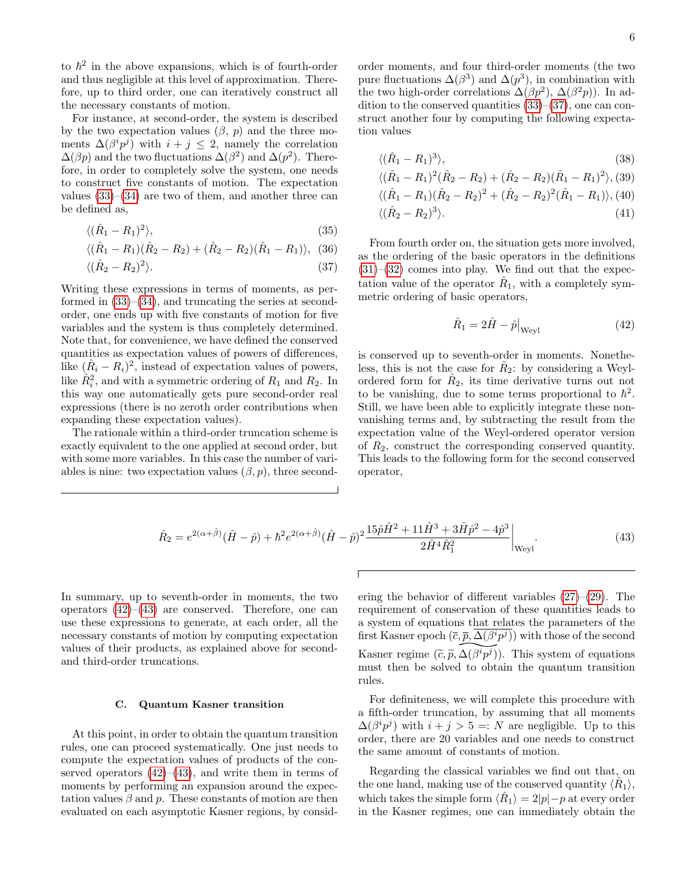to  $\hbar^2$  in the above expansions, which is of fourth-order and thus negligible at this level of approximation. Therefore, up to third order, one can iteratively construct all the necessary constants of motion.

For instance, at second-order, the system is described by the two expectation values  $(\beta, p)$  and the three moments  $\Delta(\beta^i p^j)$  with  $i + j \leq 2$ , namely the correlation  $\Delta(\beta p)$  and the two fluctuations  $\Delta(\beta^2)$  and  $\Delta(p^2)$ . Therefore, in order to completely solve the system, one needs to construct five constants of motion. The expectation values  $(33)$ – $(34)$  are two of them, and another three can be defined as,

<span id="page-5-1"></span>
$$
\langle (\hat{R}_1 - R_1)^2 \rangle, \tag{35}
$$

$$
\langle (\hat{R}_1 - R_1)(\hat{R}_2 - R_2) + (\hat{R}_2 - R_2)(\hat{R}_1 - R_1) \rangle, (36)
$$

$$
\langle (\hat{R}_2 - R_2)^2 \rangle. \tag{37}
$$

Writing these expressions in terms of moments, as performed in  $(33)$ – $(34)$ , and truncating the series at secondorder, one ends up with five constants of motion for five variables and the system is thus completely determined. Note that, for convenience, we have defined the conserved quantities as expectation values of powers of differences, like  $(\hat{R}_i - R_i)^2$ , instead of expectation values of powers, like  $\hat{R}_i^2$ , and with a symmetric ordering of  $R_1$  and  $R_2$ . In this way one automatically gets pure second-order real expressions (there is no zeroth order contributions when expanding these expectation values).

The rationale within a third-order truncation scheme is exactly equivalent to the one applied at second order, but with some more variables. In this case the number of variables is nine: two expectation values  $(\beta, p)$ , three second-

order moments, and four third-order moments (the two pure fluctuations  $\Delta(\beta^3)$  and  $\Delta(p^3)$ , in combination with the two high-order correlations  $\Delta(\beta p^2)$ ,  $\Delta(\beta^2 p)$ ). In addition to the conserved quantities  $(33)$ – $(37)$ , one can construct another four by computing the following expectation values

$$
\langle (\hat{R}_1 - R_1)^3 \rangle, \tag{38}
$$

$$
\langle (\hat{R}_1 - R_1)^2 (\hat{R}_2 - R_2) + (\hat{R}_2 - R_2) (\hat{R}_1 - R_1)^2 \rangle, (39)
$$

$$
\langle (\hat{R}_1 - R_1)(\hat{R}_2 - R_2)^2 + (\hat{R}_2 - R_2)^2(\hat{R}_1 - R_1) \rangle, (40) \langle (\hat{R}_2 - R_2)^3 \rangle.
$$
\n(41)

From fourth order on, the situation gets more involved, as the ordering of the basic operators in the definitions  $(31)–(32)$  $(31)–(32)$  $(31)–(32)$  comes into play. We find out that the expectation value of the operator  $\hat{R}_1$ , with a completely symmetric ordering of basic operators,

<span id="page-5-3"></span><span id="page-5-2"></span>
$$
\hat{R}_1 = 2\hat{H} - \hat{p}\big|_{\text{Weyl}} \tag{42}
$$

is conserved up to seventh-order in moments. Nonetheless, this is not the case for  $\hat{R}_2$ : by considering a Weylordered form for  $\hat{R}_2$ , its time derivative turns out not to be vanishing, due to some terms proportional to  $\hbar^2$ . Still, we have been able to explicitly integrate these nonvanishing terms and, by subtracting the result from the expectation value of the Weyl-ordered operator version of  $R_2$ , construct the corresponding conserved quantity. This leads to the following form for the second conserved operator,

$$
\hat{R}_2 = e^{2(\alpha + \hat{\beta})} (\hat{H} - \hat{p}) + \hbar^2 e^{2(\alpha + \hat{\beta})} (\hat{H} - \hat{p})^2 \frac{15\hat{p}\hat{H}^2 + 11\hat{H}^3 + 3\hat{H}\hat{p}^2 - 4\hat{p}^3}{2\hat{H}^4 \hat{R}_1^2} \Big|_{\text{Weyl}}.
$$
\n(43)

In summary, up to seventh-order in moments, the two operators  $(42)$ – $(43)$  are conserved. Therefore, one can use these expressions to generate, at each order, all the necessary constants of motion by computing expectation values of their products, as explained above for secondand third-order truncations.

#### <span id="page-5-0"></span>C. Quantum Kasner transition

At this point, in order to obtain the quantum transition rules, one can proceed systematically. One just needs to compute the expectation values of products of the conserved operators  $(42)$ – $(43)$ , and write them in terms of moments by performing an expansion around the expectation values  $\beta$  and  $p$ . These constants of motion are then evaluated on each asymptotic Kasner regions, by consid-

ering the behavior of different variables [\(27\)](#page-4-3)–[\(29\)](#page-4-3). The requirement of conservation of these quantities leads to a system of equations that relates the parameters of the first Kasner epoch  $(\bar{c}, \bar{p}, \Delta(\beta^i p^j))$  with those of the second Kasner regime  $(\tilde{c}, \tilde{p}, \Delta(\beta^i p^j)))$ <br>must then be solved to ob  $\frac{\overline{p}, \Delta(\beta^i)}{\Delta(\beta^i p^j)}$ <br>to obt )). This system of equations must then be solved to obtain the quantum transition rules.

For definiteness, we will complete this procedure with a fifth-order truncation, by assuming that all moments  $\Delta(\beta^i p^j)$  with  $i + j > 5 =: N$  are negligible. Up to this order, there are 20 variables and one needs to construct the same amount of constants of motion.

Regarding the classical variables we find out that, on the one hand, making use of the conserved quantity  $\langle \hat{R}_1 \rangle$ , which takes the simple form  $\langle \hat{R}_1 \rangle = 2|p| - p$  at every order in the Kasner regimes, one can immediately obtain the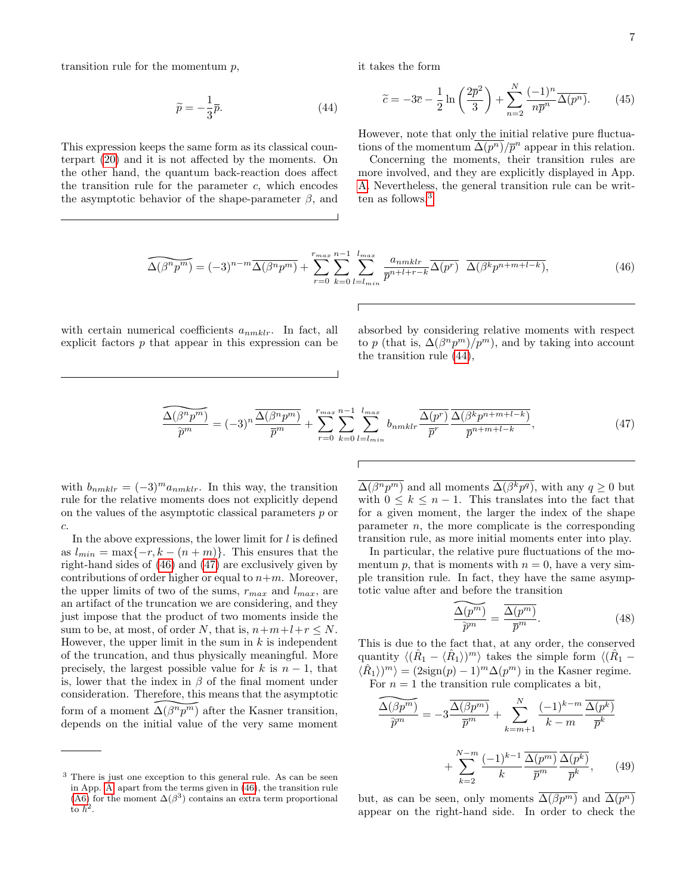transition rule for the momentum  $p$ ,

$$
\widetilde{p} = -\frac{1}{3}\overline{p}.\tag{44}
$$

This expression keeps the same form as its classical counterpart [\(20\)](#page-3-5) and it is not affected by the moments. On the other hand, the quantum back-reaction does affect the transition rule for the parameter  $c$ , which encodes the asymptotic behavior of the shape-parameter  $\beta$ , and <span id="page-6-1"></span>it takes the form

<span id="page-6-5"></span>
$$
\widetilde{c} = -3\overline{c} - \frac{1}{2}\ln\left(\frac{2\overline{p}^2}{3}\right) + \sum_{n=2}^{N} \frac{(-1)^n}{n\overline{p}^n} \overline{\Delta(p^n)}.
$$
 (45)

However, note that only the initial relative pure fluctuations of the momentum  $\overline{\Delta(p^n)}/\overline{p}^n$  appear in this relation.

Concerning the moments, their transition rules are more involved, and they are explicitly displayed in App. [A.](#page-10-0) Nevertheless, the general transition rule can be writ-ten as follows,<sup>[3](#page-6-0)</sup>

$$
\widehat{\Delta(\beta^n p^m)} = (-3)^{n-m} \overline{\Delta(\beta^n p^m)} + \sum_{r=0}^{r_{max}} \sum_{k=0}^{n-1} \sum_{l=l_{min}}^{l_{max}} \frac{a_{nmklr}}{\overline{p}^{n+l+r-k}} \overline{\Delta(p^r)} \ \overline{\Delta(\beta^k p^{n+m+l-k})},\tag{46}
$$

with certain numerical coefficients  $a_{nmklr}$ . In fact, all explicit factors p that appear in this expression can be <span id="page-6-2"></span>absorbed by considering relative moments with respect to p (that is,  $\Delta(\beta^n p^m)/p^m$ ), and by taking into account the transition rule [\(44\)](#page-6-1),

$$
\frac{\widehat{\Delta(\beta^n p^m)}}{\widetilde{p}^m} = (-3)^n \frac{\widehat{\Delta(\beta^n p^m)}}{\overline{p}^m} + \sum_{r=0}^{r_{max}} \sum_{k=0}^{n-1} \sum_{l=l_{min}}^{l_{max}} b_{nmklr} \frac{\widehat{\Delta(p^r)}}{\overline{p}^r} \frac{\widehat{\Delta(\beta^k p^{n+m+l-k})}}{\overline{p}^{n+m+l-k}},
$$
\n(47)

with  $b_{nmklr} = (-3)^m a_{nmklr}$ . In this way, the transition rule for the relative moments does not explicitly depend on the values of the asymptotic classical parameters p or  $\boldsymbol{c}.$ 

In the above expressions, the lower limit for  $l$  is defined as  $l_{min} = \max\{-r, k - (n + m)\}.$  This ensures that the right-hand sides of [\(46\)](#page-6-2) and [\(47\)](#page-6-3) are exclusively given by contributions of order higher or equal to  $n+m$ . Moreover, the upper limits of two of the sums,  $r_{max}$  and  $l_{max}$ , are an artifact of the truncation we are considering, and they just impose that the product of two moments inside the sum to be, at most, of order N, that is,  $n+m+l+r \leq N$ . However, the upper limit in the sum in  $k$  is independent of the truncation, and thus physically meaningful. More precisely, the largest possible value for k is  $n-1$ , that is, lower that the index in  $\beta$  of the final moment under consideration. Therefore, this means that the asymptotic form of a moment  $\Delta(\beta^n \overline{p^m})$ refore, th $\widehat{\Delta(\beta^n p^m)}$ <br>tial valu ) after the Kasner transition, depends on the initial value of the very same moment

 $\Delta(\beta^n p^m)$  and all moments  $\Delta(\beta^k p^q)$ , with any  $q \geq 0$  but with  $0 \leq k \leq n-1$ . This translates into the fact that for a given moment, the larger the index of the shape parameter  $n$ , the more complicate is the corresponding transition rule, as more initial moments enter into play.

In particular, the relative pure fluctuations of the momentum p, that is moments with  $n = 0$ , have a very simple transition rule. In fact, they have the same asymptotic value after and before the transition

<span id="page-6-4"></span><span id="page-6-3"></span>
$$
\frac{\widehat{\Delta(p^m)}}{\widehat{p}^m} = \frac{\overline{\Delta(p^m)}}{\overline{p}^m}.
$$
\n(48)

This is due to the fact that, at any order, the conserved quantity  $\langle (\hat{R}_1 - \langle \hat{R}_1 \rangle)^m \rangle$  takes the simple form  $\langle (\hat{R}_1 - \hat{R}_2)^m \rangle$  $\langle \hat{R}_1 \rangle^m$  =  $(2\text{sign}(p) - 1)^m \Delta(p^m)$  in the Kasner regime. For  $n = 1$  the transition rule complicates a bit,

$$
\frac{\widehat{\Delta(\beta p^m)}}{\widehat{p}^m} = -3 \frac{\overline{\Delta(\beta p^m)}}{\overline{p}^m} + \sum_{k=m+1}^N \frac{(-1)^{k-m}}{k-m} \frac{\overline{\Delta(p^k)}}{\overline{p}^k} + \sum_{k=2}^{N-m} \frac{(-1)^{k-1}}{k} \frac{\overline{\Delta(p^m)}}{\overline{p}^m} \frac{\overline{\Delta(p^k)}}{\overline{p}^m}, \quad (49)
$$

but, as can be seen, only moments  $\Delta(\beta p^m)$  and  $\Delta(p^n)$ appear on the right-hand side. In order to check the

<span id="page-6-0"></span><sup>3</sup> There is just one exception to this general rule. As can be seen in App. [A,](#page-10-0) apart from the terms given in [\(46\)](#page-6-2), the transition rule [\(A6\)](#page-11-8) for the moment  $\Delta(\beta^3)$  contains an extra term proportional to  $\hbar^2$ .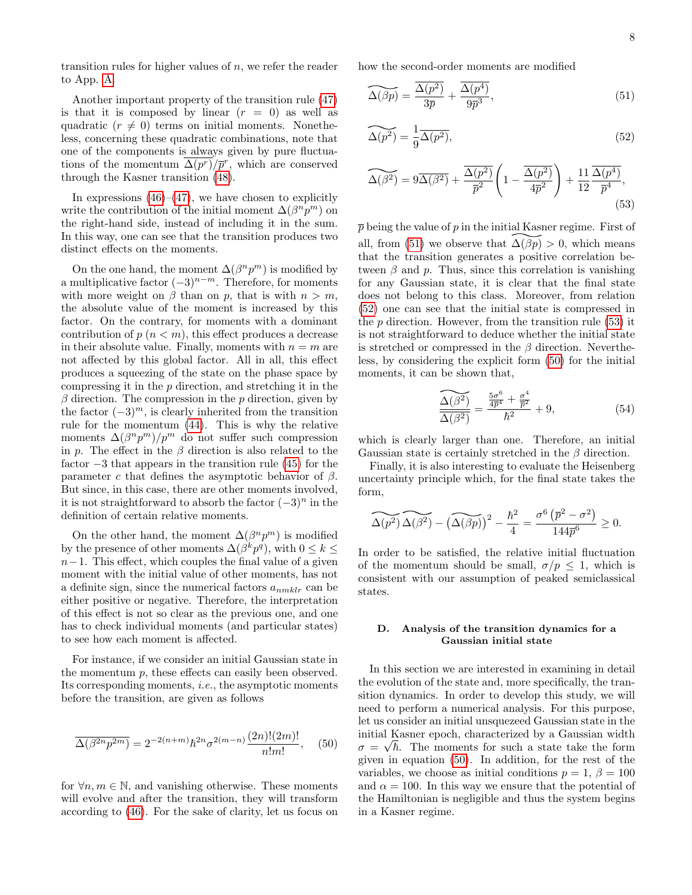transition rules for higher values of  $n$ , we refer the reader to App. [A.](#page-10-0)

Another important property of the transition rule [\(47\)](#page-6-3) is that it is composed by linear  $(r = 0)$  as well as quadratic  $(r \neq 0)$  terms on initial moments. Nonetheless, concerning these quadratic combinations, note that one of the components is always given by pure fluctuations of the momentum  $\overline{\Delta(p^r)}/\overline{p}^r$ , which are conserved through the Kasner transition [\(48\)](#page-6-4).

In expressions  $(46)$ – $(47)$ , we have chosen to explicitly write the contribution of the initial moment  $\Delta(\beta^n p^m)$  on the right-hand side, instead of including it in the sum. In this way, one can see that the transition produces two distinct effects on the moments.

On the one hand, the moment  $\Delta(\beta^n p^m)$  is modified by a multiplicative factor  $(-3)^{n-m}$ . Therefore, for moments with more weight on  $\beta$  than on p, that is with  $n > m$ , the absolute value of the moment is increased by this factor. On the contrary, for moments with a dominant contribution of  $p(n < m)$ , this effect produces a decrease in their absolute value. Finally, moments with  $n = m$  are not affected by this global factor. All in all, this effect produces a squeezing of the state on the phase space by compressing it in the  $p$  direction, and stretching it in the  $\beta$  direction. The compression in the p direction, given by the factor  $(-3)^m$ , is clearly inherited from the transition rule for the momentum [\(44\)](#page-6-1). This is why the relative moments  $\Delta(\beta^n p^m)/p^m$  do not suffer such compression in p. The effect in the  $\beta$  direction is also related to the factor −3 that appears in the transition rule [\(45\)](#page-6-5) for the parameter c that defines the asymptotic behavior of  $\beta$ . But since, in this case, there are other moments involved, it is not straightforward to absorb the factor  $(-3)^n$  in the definition of certain relative moments.

On the other hand, the moment  $\Delta(\beta^n p^m)$  is modified by the presence of other moments  $\Delta(\beta^k p^q)$ , with  $0 \leq k \leq$  $n-1$ . This effect, which couples the final value of a given moment with the initial value of other moments, has not a definite sign, since the numerical factors  $a_{nmklr}$  can be either positive or negative. Therefore, the interpretation of this effect is not so clear as the previous one, and one has to check individual moments (and particular states) to see how each moment is affected.

For instance, if we consider an initial Gaussian state in the momentum p, these effects can easily been observed. Its corresponding moments, i.e., the asymptotic moments before the transition, are given as follows

<span id="page-7-4"></span>
$$
\overline{\Delta(\beta^{2n}p^{2m})} = 2^{-2(n+m)}\hbar^{2n}\sigma^{2(m-n)}\frac{(2n)!(2m)!}{n!m!}, \quad (50)
$$

for  $\forall n, m \in \mathbb{N}$ , and vanishing otherwise. These moments will evolve and after the transition, they will transform according to [\(46\)](#page-6-2). For the sake of clarity, let us focus on how the second-order moments are modified

$$
\widetilde{\Delta(\beta p)} = \frac{\overline{\Delta(p^2)}}{3\overline{p}} + \frac{\overline{\Delta(p^4)}}{9\overline{p}^3},\tag{51}
$$

<span id="page-7-2"></span><span id="page-7-1"></span>
$$
\widetilde{\Delta(p^2)} = \frac{1}{9} \overline{\Delta(p^2)},\tag{52}
$$

<span id="page-7-3"></span>
$$
\widetilde{\Delta(\beta^2)} = 9\overline{\Delta(\beta^2)} + \frac{\overline{\Delta(p^2)}}{\overline{p}^2} \left(1 - \frac{\overline{\Delta(p^2)}}{4\overline{p}^2}\right) + \frac{11}{12} \frac{\overline{\Delta(p^4)}}{\overline{p}^4},
$$
\n(53)

 $\bar{p}$  being the value of p in the initial Kasner regime. First of p being the value of p in the initial Kas<br>all, from [\(51\)](#page-7-1) we observe that  $\widehat{\Delta(\beta p)}$ <br>that the transition generates a posit  $\beta p$ ) > 0, which means that the transition generates a positive correlation between  $\beta$  and p. Thus, since this correlation is vanishing for any Gaussian state, it is clear that the final state does not belong to this class. Moreover, from relation [\(52\)](#page-7-2) one can see that the initial state is compressed in the  $p$  direction. However, from the transition rule [\(53\)](#page-7-3) it is not straightforward to deduce whether the initial state is stretched or compressed in the  $\beta$  direction. Nevertheless, by considering the explicit form [\(50\)](#page-7-4) for the initial moments, it can be shown that,

$$
\frac{\widetilde{\Delta(\beta^2)}}{\widetilde{\Delta(\beta^2)}} = \frac{\frac{5\sigma^6}{4\overline{p}^4} + \frac{\sigma^4}{\overline{p}^2}}{\hbar^2} + 9,\tag{54}
$$

which is clearly larger than one. Therefore, an initial Gaussian state is certainly stretched in the  $\beta$  direction.

Finally, it is also interesting to evaluate the Heisenberg uncertainty principle which, for the final state takes the form,

$$
\widetilde{\Delta(p^2)} \widetilde{\Delta(\beta^2)} - \widetilde{(\Delta(\beta p))}^2 - \frac{\hbar^2}{4} = \frac{\sigma^6 (\bar{p}^2 - \sigma^2)}{144\bar{p}^6} \ge 0.
$$

In order to be satisfied, the relative initial fluctuation of the momentum should be small,  $\sigma/p \leq 1$ , which is consistent with our assumption of peaked semiclassical states.

## <span id="page-7-0"></span>D. Analysis of the transition dynamics for a Gaussian initial state

In this section we are interested in examining in detail the evolution of the state and, more specifically, the transition dynamics. In order to develop this study, we will need to perform a numerical analysis. For this purpose, let us consider an initial unsquezeed Gaussian state in the initial Kasner epoch, characterized by a Gaussian width √  $\sigma = \sqrt{\hbar}$ . The moments for such a state take the form given in equation [\(50\)](#page-7-4). In addition, for the rest of the variables, we choose as initial conditions  $p = 1, \beta = 100$ and  $\alpha = 100$ . In this way we ensure that the potential of the Hamiltonian is negligible and thus the system begins in a Kasner regime.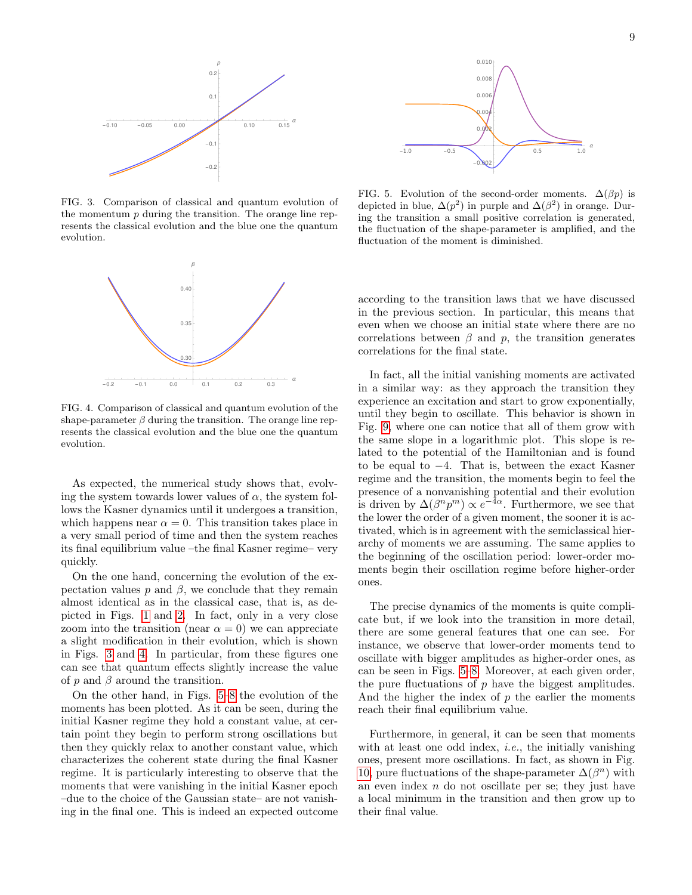

<span id="page-8-0"></span>FIG. 3. Comparison of classical and quantum evolution of the momentum  $p$  during the transition. The orange line represents the classical evolution and the blue one the quantum evolution.



<span id="page-8-1"></span>FIG. 4. Comparison of classical and quantum evolution of the shape-parameter  $\beta$  during the transition. The orange line represents the classical evolution and the blue one the quantum evolution.

As expected, the numerical study shows that, evolving the system towards lower values of  $\alpha$ , the system follows the Kasner dynamics until it undergoes a transition, which happens near  $\alpha = 0$ . This transition takes place in a very small period of time and then the system reaches its final equilibrium value –the final Kasner regime– very quickly.

On the one hand, concerning the evolution of the expectation values  $p$  and  $\beta$ , we conclude that they remain almost identical as in the classical case, that is, as depicted in Figs. [1](#page-2-2) and [2.](#page-2-3) In fact, only in a very close zoom into the transition (near  $\alpha = 0$ ) we can appreciate a slight modification in their evolution, which is shown in Figs. [3](#page-8-0) and [4.](#page-8-1) In particular, from these figures one can see that quantum effects slightly increase the value of  $p$  and  $\beta$  around the transition.

On the other hand, in Figs. [5–](#page-8-2)[8](#page-9-1) the evolution of the moments has been plotted. As it can be seen, during the initial Kasner regime they hold a constant value, at certain point they begin to perform strong oscillations but then they quickly relax to another constant value, which characterizes the coherent state during the final Kasner regime. It is particularly interesting to observe that the moments that were vanishing in the initial Kasner epoch –due to the choice of the Gaussian state– are not vanishing in the final one. This is indeed an expected outcome



<span id="page-8-2"></span>FIG. 5. Evolution of the second-order moments.  $\Delta(\beta p)$  is depicted in blue,  $\Delta(p^2)$  in purple and  $\Delta(\beta^2)$  in orange. During the transition a small positive correlation is generated, the fluctuation of the shape-parameter is amplified, and the fluctuation of the moment is diminished.

according to the transition laws that we have discussed in the previous section. In particular, this means that even when we choose an initial state where there are no correlations between  $\beta$  and  $p$ , the transition generates correlations for the final state.

In fact, all the initial vanishing moments are activated in a similar way: as they approach the transition they experience an excitation and start to grow exponentially, until they begin to oscillate. This behavior is shown in Fig. [9,](#page-9-2) where one can notice that all of them grow with the same slope in a logarithmic plot. This slope is related to the potential of the Hamiltonian and is found to be equal to −4. That is, between the exact Kasner regime and the transition, the moments begin to feel the presence of a nonvanishing potential and their evolution is driven by  $\Delta(\beta^n p^m) \propto e^{-4\alpha}$ . Furthermore, we see that the lower the order of a given moment, the sooner it is activated, which is in agreement with the semiclassical hierarchy of moments we are assuming. The same applies to the beginning of the oscillation period: lower-order moments begin their oscillation regime before higher-order ones.

The precise dynamics of the moments is quite complicate but, if we look into the transition in more detail, there are some general features that one can see. For instance, we observe that lower-order moments tend to oscillate with bigger amplitudes as higher-order ones, as can be seen in Figs. [5](#page-8-2)[–8.](#page-9-1) Moreover, at each given order, the pure fluctuations of  $p$  have the biggest amplitudes. And the higher the index of  $p$  the earlier the moments reach their final equilibrium value.

Furthermore, in general, it can be seen that moments with at least one odd index, *i.e.*, the initially vanishing ones, present more oscillations. In fact, as shown in Fig. [10,](#page-9-3) pure fluctuations of the shape-parameter  $\Delta(\beta^n)$  with an even index  $n$  do not oscillate per se; they just have a local minimum in the transition and then grow up to their final value.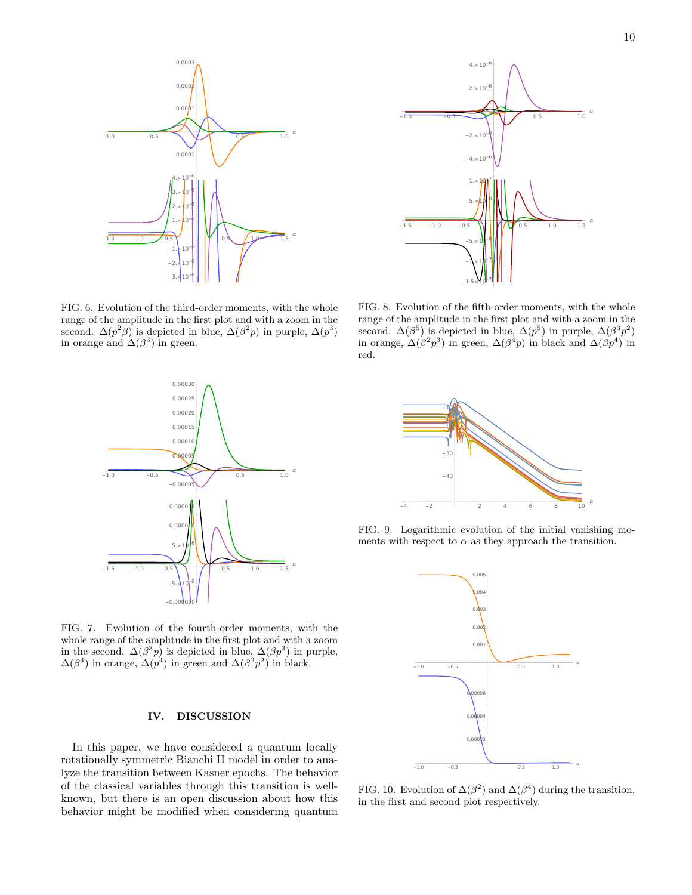

FIG. 6. Evolution of the third-order moments, with the whole range of the amplitude in the first plot and with a zoom in the second.  $\Delta(p^2\beta)$  is depicted in blue,  $\Delta(\beta^2p)$  in purple,  $\Delta(p^3)$ in orange and  $\Delta(\beta^3)$  in green.



<span id="page-9-1"></span>FIG. 8. Evolution of the fifth-order moments, with the whole range of the amplitude in the first plot and with a zoom in the second.  $\Delta(\beta^5)$  is depicted in blue,  $\Delta(p^5)$  in purple,  $\Delta(\beta^3 p^2)$ in orange,  $\Delta(\beta^2 p^3)$  in green,  $\Delta(\beta^4 p)$  in black and  $\Delta(\beta p^4)$  in red.



FIG. 7. Evolution of the fourth-order moments, with the whole range of the amplitude in the first plot and with a zoom in the second.  $\Delta(\beta^3 p)$  is depicted in blue,  $\Delta(\beta p^3)$  in purple,  $\Delta(\beta^4)$  in orange,  $\Delta(p^4)$  in green and  $\Delta(\beta^2 p^2)$  in black.

# <span id="page-9-0"></span>IV. DISCUSSION

In this paper, we have considered a quantum locally rotationally symmetric Bianchi II model in order to analyze the transition between Kasner epochs. The behavior of the classical variables through this transition is wellknown, but there is an open discussion about how this behavior might be modified when considering quantum



FIG. 9. Logarithmic evolution of the initial vanishing moments with respect to  $\alpha$  as they approach the transition.

<span id="page-9-2"></span>

<span id="page-9-3"></span>FIG. 10. Evolution of  $\Delta(\beta^2)$  and  $\Delta(\beta^4)$  during the transition, in the first and second plot respectively.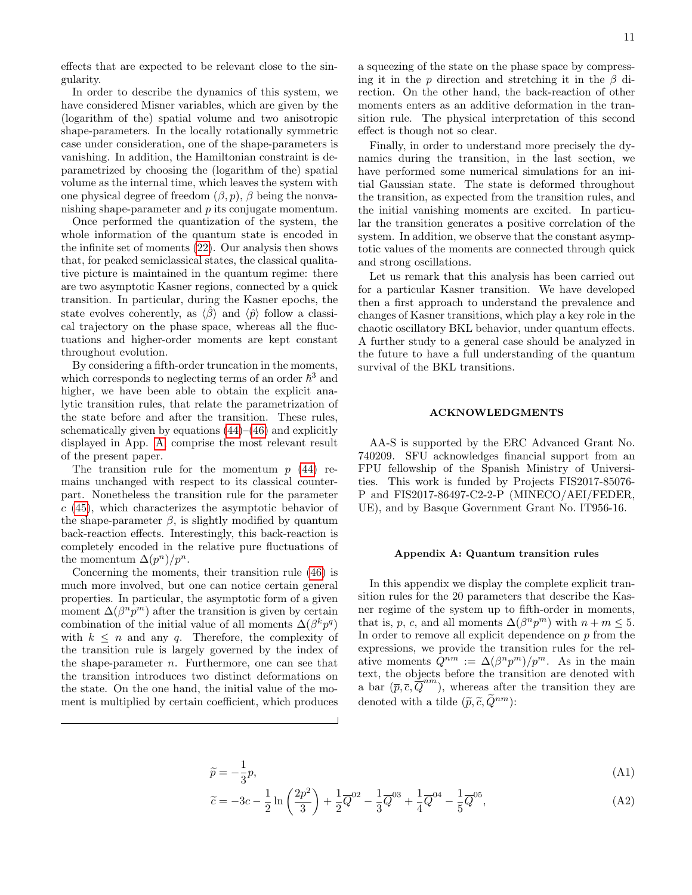effects that are expected to be relevant close to the singularity.

In order to describe the dynamics of this system, we have considered Misner variables, which are given by the (logarithm of the) spatial volume and two anisotropic shape-parameters. In the locally rotationally symmetric case under consideration, one of the shape-parameters is vanishing. In addition, the Hamiltonian constraint is deparametrized by choosing the (logarithm of the) spatial volume as the internal time, which leaves the system with one physical degree of freedom  $(\beta, p)$ ,  $\beta$  being the nonvanishing shape-parameter and p its conjugate momentum.

Once performed the quantization of the system, the whole information of the quantum state is encoded in the infinite set of moments [\(22\)](#page-3-2). Our analysis then shows that, for peaked semiclassical states, the classical qualitative picture is maintained in the quantum regime: there are two asymptotic Kasner regions, connected by a quick transition. In particular, during the Kasner epochs, the state evolves coherently, as  $\langle \hat{\beta} \rangle$  and  $\langle \hat{\psi} \rangle$  follow a classical trajectory on the phase space, whereas all the fluctuations and higher-order moments are kept constant throughout evolution.

By considering a fifth-order truncation in the moments, which corresponds to neglecting terms of an order  $\hbar^3$  and higher, we have been able to obtain the explicit analytic transition rules, that relate the parametrization of the state before and after the transition. These rules, schematically given by equations  $(44)$ – $(46)$  and explicitly displayed in App. [A,](#page-10-0) comprise the most relevant result of the present paper.

The transition rule for the momentum  $p(44)$  $p(44)$  remains unchanged with respect to its classical counterpart. Nonetheless the transition rule for the parameter  $c$  [\(45\)](#page-6-5), which characterizes the asymptotic behavior of the shape-parameter  $\beta$ , is slightly modified by quantum back-reaction effects. Interestingly, this back-reaction is completely encoded in the relative pure fluctuations of the momentum  $\Delta(p^n)/p^n$ .

Concerning the moments, their transition rule [\(46\)](#page-6-2) is much more involved, but one can notice certain general properties. In particular, the asymptotic form of a given moment  $\Delta(\beta^n p^m)$  after the transition is given by certain combination of the initial value of all moments  $\Delta(\beta^k p^q)$ with  $k \leq n$  and any q. Therefore, the complexity of the transition rule is largely governed by the index of the shape-parameter  $n$ . Furthermore, one can see that the transition introduces two distinct deformations on the state. On the one hand, the initial value of the moment is multiplied by certain coefficient, which produces

a squeezing of the state on the phase space by compressing it in the p direction and stretching it in the  $\beta$  direction. On the other hand, the back-reaction of other moments enters as an additive deformation in the transition rule. The physical interpretation of this second effect is though not so clear.

Finally, in order to understand more precisely the dynamics during the transition, in the last section, we have performed some numerical simulations for an initial Gaussian state. The state is deformed throughout the transition, as expected from the transition rules, and the initial vanishing moments are excited. In particular the transition generates a positive correlation of the system. In addition, we observe that the constant asymptotic values of the moments are connected through quick and strong oscillations.

Let us remark that this analysis has been carried out for a particular Kasner transition. We have developed then a first approach to understand the prevalence and changes of Kasner transitions, which play a key role in the chaotic oscillatory BKL behavior, under quantum effects. A further study to a general case should be analyzed in the future to have a full understanding of the quantum survival of the BKL transitions.

## ACKNOWLEDGMENTS

AA-S is supported by the ERC Advanced Grant No. 740209. SFU acknowledges financial support from an FPU fellowship of the Spanish Ministry of Universities. This work is funded by Projects FIS2017-85076- P and FIS2017-86497-C2-2-P (MINECO/AEI/FEDER, UE), and by Basque Government Grant No. IT956-16.

#### <span id="page-10-0"></span>Appendix A: Quantum transition rules

In this appendix we display the complete explicit transition rules for the 20 parameters that describe the Kasner regime of the system up to fifth-order in moments, that is, p, c, and all moments  $\Delta(\beta^n p^m)$  with  $n + m \leq 5$ . In order to remove all explicit dependence on  $p$  from the expressions, we provide the transition rules for the relative moments  $Q^{nm} := \Delta(\beta^n p^m)/p^m$ . As in the main text, the objects before the transition are denoted with a bar  $(\bar{p}, \bar{c}, \bar{Q}^{nm})$ , whereas after the transition they are denoted with a tilde  $(\widetilde{p}, \widetilde{c}, \widetilde{Q}^{nm})$ :

$$
\widetilde{p} = -\frac{1}{3}p,\tag{A1}
$$

$$
\tilde{c} = -3c - \frac{1}{2}\ln\left(\frac{2p^2}{3}\right) + \frac{1}{2}\overline{Q}^{02} - \frac{1}{3}\overline{Q}^{03} + \frac{1}{4}\overline{Q}^{04} - \frac{1}{5}\overline{Q}^{05},\tag{A2}
$$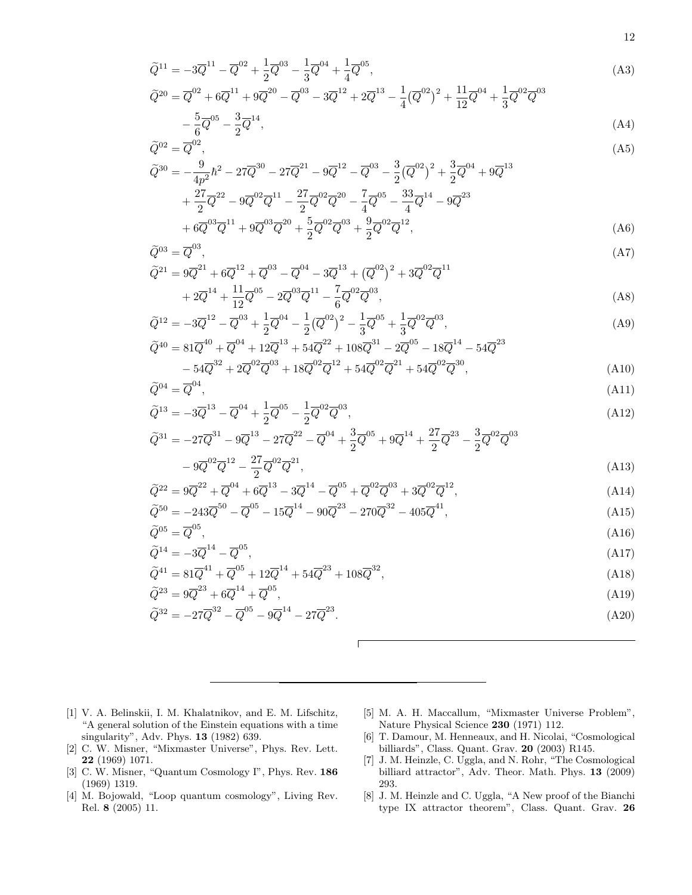$$
\tilde{Q}^{11} = -3\overline{Q}^{11} - \overline{Q}^{02} + \frac{1}{2}\overline{Q}^{03} - \frac{1}{3}\overline{Q}^{04} + \frac{1}{4}\overline{Q}^{05},
$$
\n(A3)

<span id="page-11-8"></span>
$$
3\overline{Q}^{11} + 9\overline{Q}^{20} - \overline{Q}^{03} - 3\overline{Q}^{12} + 2\overline{Q}^{13} - \frac{1}{4}(\overline{Q}^{02})^2 + \frac{11}{12}\overline{Q}^{04} + \frac{1}{3}\overline{Q}^{02}\overline{Q}^{03} - \frac{3}{2}\overline{Q}^{14},
$$

$$
\widetilde{Q}^{20} = \overline{Q}^{02} + 6\overline{Q}^{11} + 9\overline{Q}^{20} - \overline{Q}^{03} - 3\overline{Q}^{12} + 2\overline{Q}^{13} - \frac{1}{4}(\overline{Q}^{02})^2 + \frac{11}{12}\overline{Q}^{04} + \frac{1}{3}\overline{Q}^{02}\overline{Q}^{03}
$$
\n
$$
-\frac{5}{6}\overline{Q}^{05} - \frac{3}{2}\overline{Q}^{14},
$$
\n
$$
\widetilde{Q}^{02} = \overline{Q}^{02}
$$
\n(A4)

$$
-\frac{5}{6}\overline{Q}^{05} - \frac{3}{2}\overline{Q}^{14},\tag{A4}
$$

$$
-\frac{5}{6}\overline{Q}^{05} - \frac{3}{2}\overline{Q}^{14},
$$
\n
$$
^{02} = \overline{Q}^{02},
$$
\n(A4)

$$
\widetilde{Q}^{02} = \overline{Q}^{02},
$$
\n
$$
\widetilde{Q}^{30} = -\frac{9}{4\pi^2} \hbar^2 - 27\overline{Q}^{30} - 27\overline{Q}^{21} - 9\overline{Q}^{12} - \overline{Q}^{03} - \frac{3}{2}(\overline{Q}^{02})^2 + \frac{3}{2}\overline{Q}^{04} + 9\overline{Q}^{13}
$$
\n(A5)

$$
4p^{2} + \frac{27}{2}\overline{Q}^{22} - 9\overline{Q}^{02}\overline{Q}^{11} - \frac{27}{2}\overline{Q}^{02}\overline{Q}^{20} - \frac{7}{4}\overline{Q}^{05} - \frac{33}{4}\overline{Q}^{14} - 9\overline{Q}^{23} + 6\overline{Q}^{03}\overline{Q}^{11} + 9\overline{Q}^{03}\overline{Q}^{20} + \frac{5}{2}\overline{Q}^{02}\overline{Q}^{03} + \frac{9}{2}\overline{Q}^{02}\overline{Q}^{12},
$$
 (A6)

03 , (A7)

$$
\widetilde{Q}^{03} = \overline{Q}^{03},
$$
\n
$$
\widetilde{Q}^{21} = 9\overline{Q}^{21} + 6\overline{Q}^{12} + \overline{Q}^{03} - \overline{Q}^{04} - 3\overline{Q}^{13} + (\overline{Q}^{02})^2 + 3\overline{Q}^{02}\overline{Q}^{11} + 2\overline{Q}^{14} + \frac{11}{19}\overline{Q}^{05} - 2\overline{Q}^{03}\overline{Q}^{11} - \frac{7}{6}\overline{Q}^{02}\overline{Q}^{03},
$$
\n(A8)

$$
\widetilde{Q}^{12} = -3\overline{Q}^{12} - \overline{Q}^{03} + \frac{1}{2}\overline{Q}^{04} - \frac{1}{2}(\overline{Q}^{02})^2 - \frac{1}{3}\overline{Q}^{05} + \frac{1}{3}\overline{Q}^{02}\overline{Q}^{03},\tag{A9}
$$

$$
\widetilde{Q}^{40} = 81\overline{Q}^{40} + \overline{Q}^{04} + 12\overline{Q}^{13} + 54\overline{Q}^{22} + 108\overline{Q}^{31} - 2\overline{Q}^{05} - 18\overline{Q}^{14} - 54\overline{Q}^{23} \n- 54\overline{Q}^{32} + 2\overline{Q}^{02}\overline{Q}^{03} + 18\overline{Q}^{02}\overline{Q}^{12} + 54\overline{Q}^{02}\overline{Q}^{21} + 54\overline{Q}^{02}\overline{Q}^{30},
$$
\n(A10)

$$
\tilde{Q}^{04} = \overline{Q}^{04},\tag{A11}
$$

$$
\tilde{Q}^{13} = -3\overline{Q}^{13} - \overline{Q}^{04} + \frac{1}{2}\overline{Q}^{05} - \frac{1}{2}\overline{Q}^{02}\overline{Q}^{03},\tag{A12}
$$

$$
\widetilde{Q}^{31} = -27\overline{Q}^{31} - 9\overline{Q}^{13} - 27\overline{Q}^{22} - \overline{Q}^{04} + \frac{3}{2}\overline{Q}^{05} + 9\overline{Q}^{14} + \frac{27}{2}\overline{Q}^{23} - \frac{3}{2}\overline{Q}^{02}\overline{Q}^{03}
$$

$$
-9\overline{Q}^{02}\overline{Q}^{12} - \frac{27}{2}\overline{Q}^{02}\overline{Q}^{21},\tag{A13}
$$

$$
\widetilde{Q}^{22} = 9\overline{Q}^{22} + \overline{Q}^{04} + 6\overline{Q}^{13} - 3\overline{Q}^{14} - \overline{Q}^{05} + \overline{Q}^{02}\overline{Q}^{03} + 3\overline{Q}^{02}\overline{Q}^{12},
$$
\n(A14)\n
$$
\widetilde{Q}^{50} = -243\overline{Q}^{50} - \overline{Q}^{05} - 15\overline{Q}^{14} - 90\overline{Q}^{23} - 270\overline{Q}^{32} - 405\overline{Q}^{41},
$$
\n(A15)

$$
\widetilde{Q}^{05} = \overline{Q}^{05},\tag{A16}
$$

$$
\widetilde{Q}^{14} = -3\overline{Q}^{14} - \overline{Q}^{05},\tag{A17}
$$
\n
$$
\widetilde{Q}^{41} = 21\overline{Q}^{41} + \overline{Q}^{05} + 12\overline{Q}^{14} + \overline{Q}^{23} + 12\overline{Q}^{32}
$$
\n
$$
(412)
$$

$$
\widetilde{Q}^{41} = 81\overline{Q}^{41} + \overline{Q}^{05} + 12\overline{Q}^{14} + 54\overline{Q}^{23} + 108\overline{Q}^{32},
$$
\n(A18)\n
$$
\widetilde{Q}^{23} = 9\overline{Q}^{23} + 6\overline{Q}^{14} + \overline{Q}^{05}
$$
\n(A19)

$$
Q^{23} = 9Q^{23} + 6Q^{14} + Q^{36},
$$
\n
$$
\tilde{Q}^{32} = -27\overline{Q}^{32} - \overline{Q}^{05} - 9\overline{Q}^{14} - 27\overline{Q}^{23}.
$$
\n(A19)\n(A20)

 $\sqrt{2}$ 

<span id="page-11-0"></span>[1] V. A. Belinskii, I. M. Khalatnikov, and E. M. Lifschitz, "A general solution of the Einstein equations with a time singularity", Adv. Phys. 13 (1982) 639.

- <span id="page-11-1"></span>[2] C. W. Misner, "Mixmaster Universe", Phys. Rev. Lett. 22 (1969) 1071.
- <span id="page-11-2"></span>[3] C. W. Misner, "Quantum Cosmology I", Phys. Rev. 186 (1969) 1319.
- <span id="page-11-3"></span>[4] M. Bojowald, "Loop quantum cosmology", Living Rev. Rel. 8 (2005) 11.
- <span id="page-11-4"></span>[5] M. A. H. Maccallum, "Mixmaster Universe Problem", Nature Physical Science 230 (1971) 112.
- <span id="page-11-5"></span>[6] T. Damour, M. Henneaux, and H. Nicolai, "Cosmological billiards", Class. Quant. Grav. 20 (2003) R145.
- <span id="page-11-6"></span>[7] J. M. Heinzle, C. Uggla, and N. Rohr, "The Cosmological billiard attractor", Adv. Theor. Math. Phys. 13 (2009) 293.
- <span id="page-11-7"></span>[8] J. M. Heinzle and C. Uggla, "A New proof of the Bianchi type IX attractor theorem", Class. Quant. Grav. 26